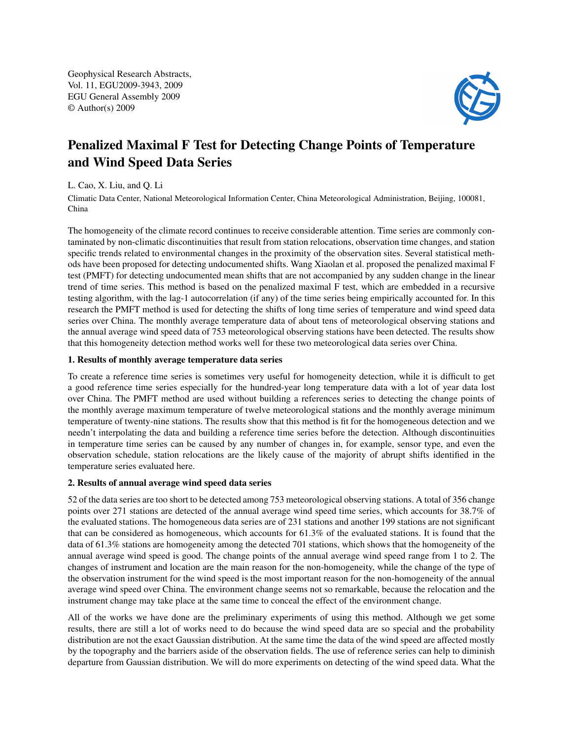Geophysical Research Abstracts, Vol. 11, EGU2009-3943, 2009 EGU General Assembly 2009 © Author(s) 2009



## Penalized Maximal F Test for Detecting Change Points of Temperature and Wind Speed Data Series

## L. Cao, X. Liu, and Q. Li

Climatic Data Center, National Meteorological Information Center, China Meteorological Administration, Beijing, 100081, China

The homogeneity of the climate record continues to receive considerable attention. Time series are commonly contaminated by non-climatic discontinuities that result from station relocations, observation time changes, and station specific trends related to environmental changes in the proximity of the observation sites. Several statistical methods have been proposed for detecting undocumented shifts. Wang Xiaolan et al. proposed the penalized maximal F test (PMFT) for detecting undocumented mean shifts that are not accompanied by any sudden change in the linear trend of time series. This method is based on the penalized maximal F test, which are embedded in a recursive testing algorithm, with the lag-1 autocorrelation (if any) of the time series being empirically accounted for. In this research the PMFT method is used for detecting the shifts of long time series of temperature and wind speed data series over China. The monthly average temperature data of about tens of meteorological observing stations and the annual average wind speed data of 753 meteorological observing stations have been detected. The results show that this homogeneity detection method works well for these two meteorological data series over China.

## 1. Results of monthly average temperature data series

To create a reference time series is sometimes very useful for homogeneity detection, while it is difficult to get a good reference time series especially for the hundred-year long temperature data with a lot of year data lost over China. The PMFT method are used without building a references series to detecting the change points of the monthly average maximum temperature of twelve meteorological stations and the monthly average minimum temperature of twenty-nine stations. The results show that this method is fit for the homogeneous detection and we needn't interpolating the data and building a reference time series before the detection. Although discontinuities in temperature time series can be caused by any number of changes in, for example, sensor type, and even the observation schedule, station relocations are the likely cause of the majority of abrupt shifts identified in the temperature series evaluated here.

## 2. Results of annual average wind speed data series

52 of the data series are too short to be detected among 753 meteorological observing stations. A total of 356 change points over 271 stations are detected of the annual average wind speed time series, which accounts for 38.7% of the evaluated stations. The homogeneous data series are of 231 stations and another 199 stations are not significant that can be considered as homogeneous, which accounts for 61.3% of the evaluated stations. It is found that the data of 61.3% stations are homogeneity among the detected 701 stations, which shows that the homogeneity of the annual average wind speed is good. The change points of the annual average wind speed range from 1 to 2. The changes of instrument and location are the main reason for the non-homogeneity, while the change of the type of the observation instrument for the wind speed is the most important reason for the non-homogeneity of the annual average wind speed over China. The environment change seems not so remarkable, because the relocation and the instrument change may take place at the same time to conceal the effect of the environment change.

All of the works we have done are the preliminary experiments of using this method. Although we get some results, there are still a lot of works need to do because the wind speed data are so special and the probability distribution are not the exact Gaussian distribution. At the same time the data of the wind speed are affected mostly by the topography and the barriers aside of the observation fields. The use of reference series can help to diminish departure from Gaussian distribution. We will do more experiments on detecting of the wind speed data. What the